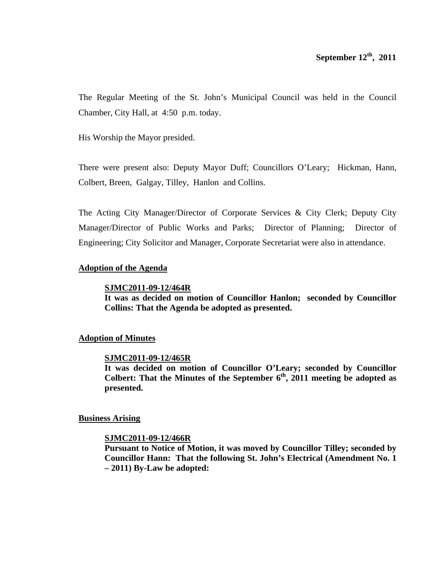The Regular Meeting of the St. John's Municipal Council was held in the Council Chamber, City Hall, at 4:50 p.m. today.

His Worship the Mayor presided.

There were present also: Deputy Mayor Duff; Councillors O'Leary; Hickman, Hann, Colbert, Breen, Galgay, Tilley, Hanlon and Collins.

The Acting City Manager/Director of Corporate Services & City Clerk; Deputy City Manager/Director of Public Works and Parks; Director of Planning; Director of Engineering; City Solicitor and Manager, Corporate Secretariat were also in attendance.

## **Adoption of the Agenda**

### **SJMC2011-09-12/464R**

**It was as decided on motion of Councillor Hanlon; seconded by Councillor Collins: That the Agenda be adopted as presented.**

## **Adoption of Minutes**

### **SJMC2011-09-12/465R**

**It was decided on motion of Councillor O'Leary; seconded by Councillor**  Colbert: That the Minutes of the September  $6<sup>th</sup>$ , 2011 meeting be adopted as **presented.** 

### **Business Arising**

### **SJMC2011-09-12/466R**

**Pursuant to Notice of Motion, it was moved by Councillor Tilley; seconded by Councillor Hann: That the following St. John's Electrical (Amendment No. 1 – 2011) By-Law be adopted:**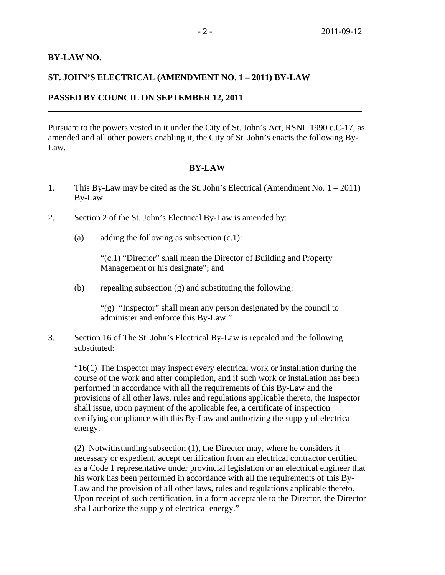## **BY-LAW NO.**

 $\overline{a}$ 

## **ST. JOHN'S ELECTRICAL (AMENDMENT NO. 1 – 2011) BY-LAW**

## **PASSED BY COUNCIL ON SEPTEMBER 12, 2011**

Pursuant to the powers vested in it under the City of St. John's Act, RSNL 1990 c.C-17, as amended and all other powers enabling it, the City of St. John's enacts the following By-Law.

# **BY-LAW**

- 1. This By-Law may be cited as the St. John's Electrical (Amendment No. 1 2011) By-Law.
- 2. Section 2 of the St. John's Electrical By-Law is amended by:
	- (a) adding the following as subsection  $(c.1)$ :

 "(c.1) "Director" shall mean the Director of Building and Property Management or his designate"; and

(b) repealing subsection (g) and substituting the following:

 "(g) "Inspector" shall mean any person designated by the council to administer and enforce this By-Law."

3. Section 16 of The St. John's Electrical By-Law is repealed and the following substituted:

 "16(1) The Inspector may inspect every electrical work or installation during the course of the work and after completion, and if such work or installation has been performed in accordance with all the requirements of this By-Law and the provisions of all other laws, rules and regulations applicable thereto, the Inspector shall issue, upon payment of the applicable fee, a certificate of inspection certifying compliance with this By-Law and authorizing the supply of electrical energy.

 (2) Notwithstanding subsection (1), the Director may, where he considers it necessary or expedient, accept certification from an electrical contractor certified as a Code 1 representative under provincial legislation or an electrical engineer that his work has been performed in accordance with all the requirements of this By-Law and the provision of all other laws, rules and regulations applicable thereto. Upon receipt of such certification, in a form acceptable to the Director, the Director shall authorize the supply of electrical energy."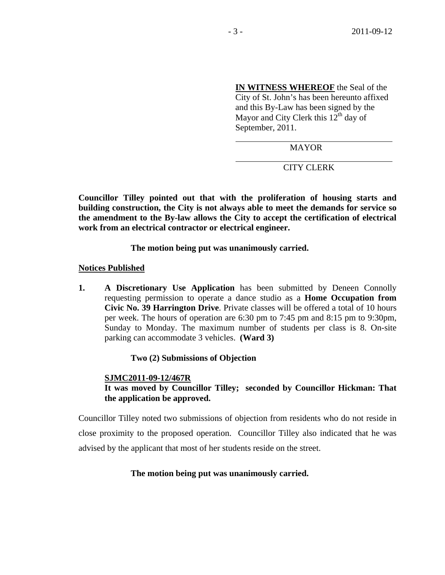**IN WITNESS WHEREOF** the Seal of the City of St. John's has been hereunto affixed and this By-Law has been signed by the Mayor and City Clerk this  $12<sup>th</sup>$  day of September, 2011.

MAYOR

CITY CLERK

**Councillor Tilley pointed out that with the proliferation of housing starts and building construction, the City is not always able to meet the demands for service so the amendment to the By-law allows the City to accept the certification of electrical work from an electrical contractor or electrical engineer.** 

 $\overline{a}$ 

 **The motion being put was unanimously carried.** 

**Notices Published**

**1. A Discretionary Use Application** has been submitted by Deneen Connolly requesting permission to operate a dance studio as a **Home Occupation from Civic No. 39 Harrington Drive**. Private classes will be offered a total of 10 hours per week. The hours of operation are 6:30 pm to 7:45 pm and 8:15 pm to 9:30pm, Sunday to Monday. The maximum number of students per class is 8. On-site parking can accommodate 3 vehicles. **(Ward 3)** 

 **Two (2) Submissions of Objection** 

 **SJMC2011-09-12/467R It was moved by Councillor Tilley; seconded by Councillor Hickman: That the application be approved.** 

Councillor Tilley noted two submissions of objection from residents who do not reside in close proximity to the proposed operation. Councillor Tilley also indicated that he was advised by the applicant that most of her students reside on the street.

## **The motion being put was unanimously carried.**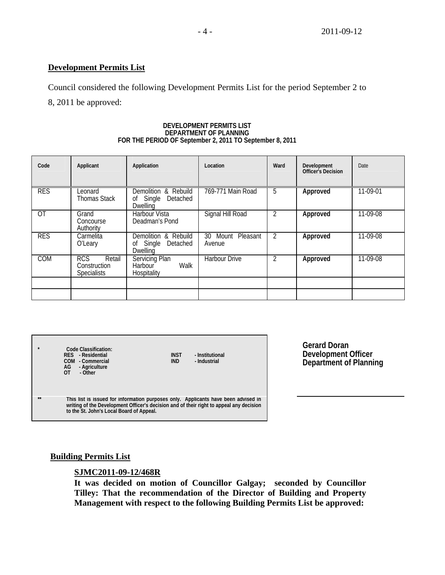## **Development Permits List**

Council considered the following Development Permits List for the period September 2 to

8, 2011 be approved:

#### **DEVELOPMENT PERMITS LIST DEPARTMENT OF PLANNING FOR THE PERIOD OF September 2, 2011 TO September 8, 2011**

| Code           | Applicant                                                  | Application                                                         | Location                          | Ward           | <b>Development</b><br><b>Officer's Decision</b> | Date       |
|----------------|------------------------------------------------------------|---------------------------------------------------------------------|-----------------------------------|----------------|-------------------------------------------------|------------|
| <b>RES</b>     | Leonard<br><b>Thomas Stack</b>                             | Demolition & Rebuild<br>Single<br>Detached<br>0f<br><b>Dwelling</b> | 769-771 Main Road                 | 5              | Approved                                        | 11-09-01   |
| $\overline{0}$ | Grand<br>Concourse<br>Authority                            | <b>Harbour Vista</b><br>Deadman's Pond                              | Signal Hill Road                  | -2             | Approved                                        | 11-09-08   |
| <b>RES</b>     | Carmelita<br>O'Leary                                       | Demolition & Rebuild<br>Single<br>Detached<br>0f<br>Dwelling        | Pleasant<br>30<br>Mount<br>Avenue | $\mathfrak{D}$ | Approved                                        | $11-09-08$ |
| COM            | <b>RCS</b><br>Retail<br>Construction<br><b>Specialists</b> | Servicing Plan<br>Walk<br>Harbour <sup>1</sup><br>Hospitality       | <b>Harbour Drive</b>              |                | Approved                                        | $11-09-08$ |
|                |                                                            |                                                                     |                                   |                |                                                 |            |
|                |                                                            |                                                                     |                                   |                |                                                 |            |

| $\star$ | Code Classification:<br>RES - Residential<br>- Commercial<br>COM<br>AG<br>- Agriculture<br>ΩT<br>- Other                                                                                                                  | <b>INST</b><br><b>IND</b> | - Institutional<br>- Industrial |
|---------|---------------------------------------------------------------------------------------------------------------------------------------------------------------------------------------------------------------------------|---------------------------|---------------------------------|
| **      | This list is issued for information purposes only. Applicants have been advised in<br>writing of the Development Officer's decision and of their right to appeal any decision<br>to the St. John's Local Board of Appeal. |                           |                                 |

**Gerard Doran Development Officer Department of Planning**

# **Building Permits List**

### **SJMC2011-09-12/468R**

**It was decided on motion of Councillor Galgay; seconded by Councillor Tilley: That the recommendation of the Director of Building and Property Management with respect to the following Building Permits List be approved:**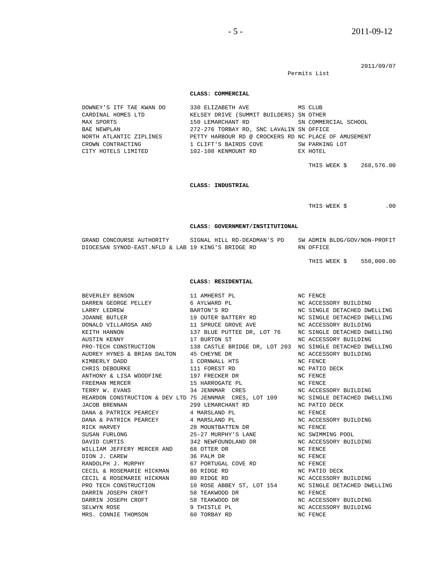$-5 - 2011 - 09 - 12$ 

Permits List

#### 2011/09/07

#### **CLASS: COMMERCIAL**

DOWNEY'S ITF TAE KWAN DO 330 ELIZABETH AVE MS CLUB CARDINAL HOMES LTD KELSEY DRIVE (SUMMIT BUILDERS) SN OTHER MAX SPORTS 150 LEMARCHANT RD SN COMMERCIAL SCHOOL BAE NEWPLAN 272-276 TORBAY RD, SNC LAVALIN SN OFFICE NORTH ATLANTIC ZIPLINES PETTY HARBOUR RD @ CROCKERS RD NC PLACE OF AMUSEMENT CROWN CONTRACTING 1 CLIFT'S BAIRDS COVE SW PARKING LOT CITY HOTELS LIMITED 102-108 KENMOUNT RD EX HOTEL THIS WEEK \$ 268,576.00  **CLASS: INDUSTRIAL**  THIS WEEK \$ .00  **CLASS: GOVERNMENT/INSTITUTIONAL**  GRAND CONCOURSE AUTHORITY SIGNAL HILL RD-DEADMAN'S PD SW ADMIN BLDG/GOV/NON-PROFIT DIOCESAN SYNOD-EAST.NFLD & LAB 19 KING'S BRIDGE RD RN OFFICE THIS WEEK \$ 550,000.00  **CLASS: RESIDENTIAL**  BEVERLEY BENSON 11 AMHERST PL NC FENCE DARREN GEORGE PELLEY 6 AYLWARD PL 6 NO MC ACCESSORY BUILDING LARRY LEDREW **BARTON'S RD** NC SINGLE DETACHED DWELLING JOANNE BUTLER 19 OUTER BATTERY RD NC SINGLE DETACHED DWELLING DONALD VILLAROSA AND 11 SPRUCE GROVE AVE NC ACCESSORY BUILDING KEITH HANNON 137 BLUE PUTTEE DR, LOT 76 NC SINGLE DETACHED DWELLING AUSTIN KENNY 17 BURTON ST NC ACCESSORY BUILDING 138 CASTLE BRIDGE DR, LOT 203 NC SINGLE DETACHED DWELLING AUDREY HYNES & BRIAN DALTON 45 CHEYNE DR NO ACCESSORY BUILDING KIMBERLY DADD 1 CORNWALL HTS NC FENCE CHRIS DEBOURKE 111 FOREST RD NC PATIO DECK ANTHONY & LISA WOODFINE 197 FRECKER DR NC FENCE FREEMAN MERCER 15 HARROGATE PL NC FENCE TERRY W. EVANS 34 JENNMAR CRES NC ACCESSORY BUILDING<br>REARDON CONSTRUCTION & DEV LTD 75 JENNMAR CRES, LOT 109 NC SINGLE DETACHED DWELLING REARDON CONSTRUCTION & DEV LTD 75 JENNMAR CRES, LOT 109 JACOB BRENNAN 299 LEMARCHANT RD NC PATIO DECK DANA & PATRICK PEARCEY 4 MARSLAND PL 9 NC FENCE DANA & PATRICK PEARCEY 4 MARSLAND PL NC ACCESSORY BUILDING RICK HARVEY 28 MOUNTBATTEN DR NC FENCE SUSAN FURLONG 25-27 MURPHY'S LANE NC SWIMMING POOL DAVID CURTIS 342 NEWFOUNDLAND DR NC ACCESSORY BUILDING WILLIAM JEFFERY MERCER AND 68 OTTER DR NC FENCE DION J. CAREW 36 PALM DR NC FENCE RANDOLPH J. MURPHY 67 PORTUGAL COVE RD NC FENCE CECIL & ROSEMARIE HICKMAN 80 RIDGE RD<br>CECIL & ROSEMARIE HICKMAN 80 RIDGE RD CECIL & ROSEMARIE HICKMAN 80 RIDGE RD NC ACCESSORY BUILDING PRO TECH CONSTRUCTION 10 ROSE ABBEY ST, LOT 154 NC SINGLE DETACHED DWELLING DARRIN JOSEPH CROFT 58 TEAKWOOD DR NC FENCE DARRIN JOSEPH CROFT 58 TEAKWOOD DR NC ACCESSORY BUILDING SELWYN ROSE 9 THISTLE PL NC ACCESSORY BUILDING MRS. CONNIE THOMSON 60 TORBAY RD NC FENCE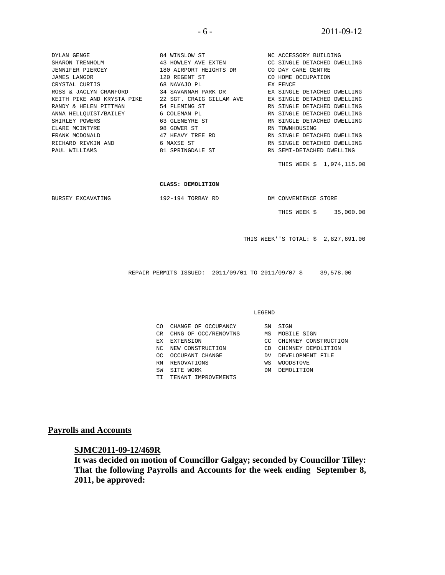| DYLAN GENGE                         | 84 WINSLOW ST                                                                   | NC ACCESSORY BUILDING               |
|-------------------------------------|---------------------------------------------------------------------------------|-------------------------------------|
| SHARON TRENHOLM                     | 43 HOWLEY AVE EXTEN CC SINGLE DETACHED DWELLING                                 |                                     |
|                                     | JENNIFER PIERCEY 180 AIRPORT HEIGHTS DR CO DAY CARE CENTRE                      |                                     |
| JAMES LANGOR                        | 120 REGENT ST CO HOME OCCUPATION                                                |                                     |
| CRYSTAL CURTIS                      | EX FENCE<br>68 NAVAJO PL                                                        |                                     |
|                                     | ROSS & JACLYN CRANFORD 34 SAVANNAH PARK DR BE SINGLE DETACHED DWELLING          |                                     |
|                                     | KEITH PIKE AND KRYSTA PIKE 22 SGT. CRAIG GILLAM AVE EX SINGLE DETACHED DWELLING |                                     |
| RANDY & HELEN PITTMAN 54 FLEMING ST |                                                                                 | RN SINGLE DETACHED DWELLING         |
| ANNA HELLQUIST/BAILEY 6 COLEMAN PL  |                                                                                 | RN SINGLE DETACHED DWELLING         |
| SHIRLEY POWERS                      | 63 GLENEYRE ST                                                                  | RN SINGLE DETACHED DWELLING         |
| CLARE MCINTYRE 98 GOWER ST          |                                                                                 | RN TOWNHOUSING                      |
| FRANK MCDONALD                      | 47 HEAVY TREE RD NO RN SINGLE DETACHED DWELLING                                 |                                     |
| RICHARD RIVKIN AND 6 MAXSE ST       |                                                                                 | RN SINGLE DETACHED DWELLING         |
| PAUL WILLIAMS                       | 81 SPRINGDALE ST <b>EXECUTE:</b> RN SEMI-DETACHED DWELLING                      |                                     |
|                                     |                                                                                 | THIS WEEK \$ 1,974,115.00           |
|                                     | CLASS: DEMOLITION                                                               |                                     |
|                                     | BURSEY EXCAVATING 192-194 TORBAY RD DM CONVENIENCE STORE                        |                                     |
|                                     |                                                                                 | THIS WEEK \$ 35,000.00              |
|                                     |                                                                                 | THIS WEEK''S TOTAL: \$ 2,827,691.00 |
|                                     |                                                                                 |                                     |
|                                     |                                                                                 |                                     |
|                                     | REPAIR PERMITS ISSUED: 2011/09/01 TO 2011/09/07 \$ 39,578.00                    |                                     |

LEGEND

| CO  | CHANGE OF OCCUPANCY  | SN  | SIGN                 |
|-----|----------------------|-----|----------------------|
| CR. | CHNG OF OCC/RENOVTNS | ΜS  | MOBILE SIGN          |
| ЕX  | EXTENSION            | CC. | CHIMNEY CONSTRUCTION |
| NC. | NEW CONSTRUCTION     | ΜD  | CHIMNEY DEMOLITION   |
| nc. | OCCUPANT CHANGE      | DV. | DEVELOPMENT FILE     |
| RN  | RENOVATIONS          | ΜS  | <b>WOODSTOVE</b>     |
| SW  | SITE WORK            | DМ  | DEMOLITION           |
| TΙ  | TENANT IMPROVEMENTS  |     |                      |

**Payrolls and Accounts**

# **SJMC2011-09-12/469R**

**It was decided on motion of Councillor Galgay; seconded by Councillor Tilley: That the following Payrolls and Accounts for the week ending September 8, 2011, be approved:**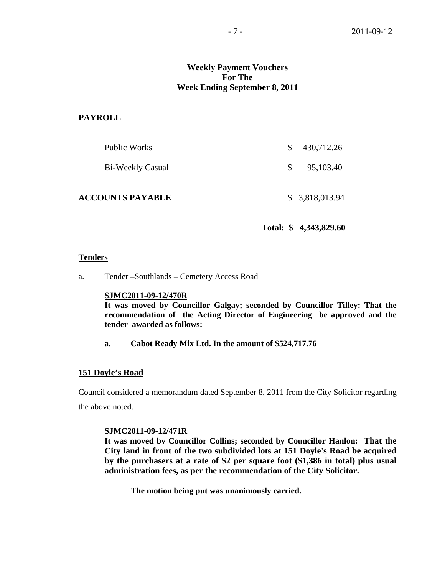## **Weekly Payment Vouchers For The Week Ending September 8, 2011**

#### **PAYROLL**

| Public Works            | S. | 430,712.26     |
|-------------------------|----|----------------|
| Bi-Weekly Casual        | S. | 95,103.40      |
| <b>ACCOUNTS PAYABLE</b> |    | \$3,818,013.94 |

**Total: \$ 4,343,829.60** 

#### **Tenders**

a. Tender –Southlands – Cemetery Access Road

#### **SJMC2011-09-12/470R**

**It was moved by Councillor Galgay; seconded by Councillor Tilley: That the recommendation of the Acting Director of Engineering be approved and the tender awarded as follows:** 

**a. Cabot Ready Mix Ltd. In the amount of \$524,717.76** 

#### **151 Doyle's Road**

Council considered a memorandum dated September 8, 2011 from the City Solicitor regarding the above noted.

#### **SJMC2011-09-12/471R**

**It was moved by Councillor Collins; seconded by Councillor Hanlon: That the City land in front of the two subdivided lots at 151 Doyle's Road be acquired by the purchasers at a rate of \$2 per square foot (\$1,386 in total) plus usual administration fees, as per the recommendation of the City Solicitor.** 

 **The motion being put was unanimously carried.**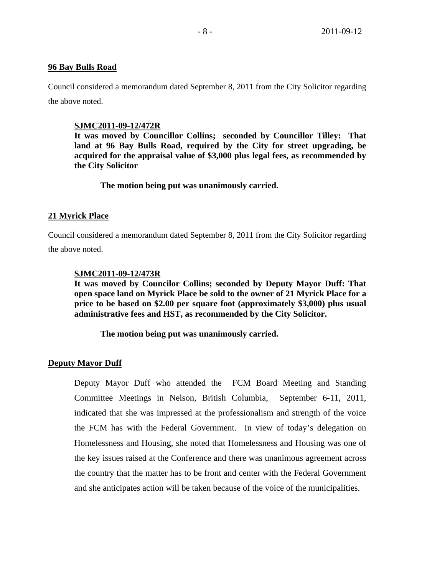#### **96 Bay Bulls Road**

Council considered a memorandum dated September 8, 2011 from the City Solicitor regarding the above noted.

#### **SJMC2011-09-12/472R**

**It was moved by Councillor Collins; seconded by Councillor Tilley: That land at 96 Bay Bulls Road, required by the City for street upgrading, be acquired for the appraisal value of \$3,000 plus legal fees, as recommended by the City Solicitor** 

 **The motion being put was unanimously carried.** 

## **21 Myrick Place**

Council considered a memorandum dated September 8, 2011 from the City Solicitor regarding the above noted.

#### **SJMC2011-09-12/473R**

**It was moved by Councilor Collins; seconded by Deputy Mayor Duff: That open space land on Myrick Place be sold to the owner of 21 Myrick Place for a price to be based on \$2.00 per square foot (approximately \$3,000) plus usual administrative fees and HST, as recommended by the City Solicitor.** 

 **The motion being put was unanimously carried.** 

#### **Deputy Mayor Duff**

Deputy Mayor Duff who attended the FCM Board Meeting and Standing Committee Meetings in Nelson, British Columbia, September 6-11, 2011, indicated that she was impressed at the professionalism and strength of the voice the FCM has with the Federal Government. In view of today's delegation on Homelessness and Housing, she noted that Homelessness and Housing was one of the key issues raised at the Conference and there was unanimous agreement across the country that the matter has to be front and center with the Federal Government and she anticipates action will be taken because of the voice of the municipalities.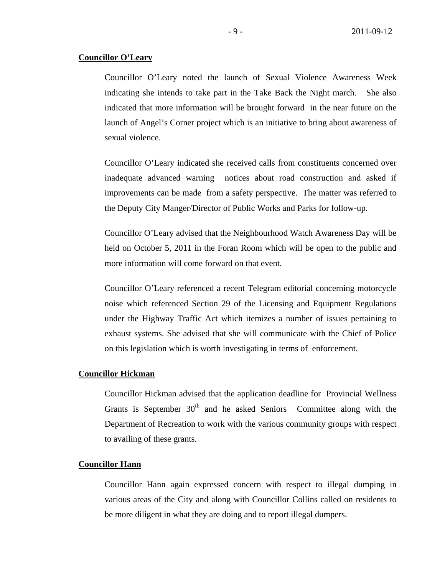## **Councillor O'Leary**

Councillor O'Leary noted the launch of Sexual Violence Awareness Week indicating she intends to take part in the Take Back the Night march. She also indicated that more information will be brought forward in the near future on the launch of Angel's Corner project which is an initiative to bring about awareness of sexual violence.

Councillor O'Leary indicated she received calls from constituents concerned over inadequate advanced warning notices about road construction and asked if improvements can be made from a safety perspective. The matter was referred to the Deputy City Manger/Director of Public Works and Parks for follow-up.

Councillor O'Leary advised that the Neighbourhood Watch Awareness Day will be held on October 5, 2011 in the Foran Room which will be open to the public and more information will come forward on that event.

Councillor O'Leary referenced a recent Telegram editorial concerning motorcycle noise which referenced Section 29 of the Licensing and Equipment Regulations under the Highway Traffic Act which itemizes a number of issues pertaining to exhaust systems. She advised that she will communicate with the Chief of Police on this legislation which is worth investigating in terms of enforcement.

#### **Councillor Hickman**

Councillor Hickman advised that the application deadline for Provincial Wellness Grants is September  $30<sup>th</sup>$  and he asked Seniors Committee along with the Department of Recreation to work with the various community groups with respect to availing of these grants.

#### **Councillor Hann**

Councillor Hann again expressed concern with respect to illegal dumping in various areas of the City and along with Councillor Collins called on residents to be more diligent in what they are doing and to report illegal dumpers.